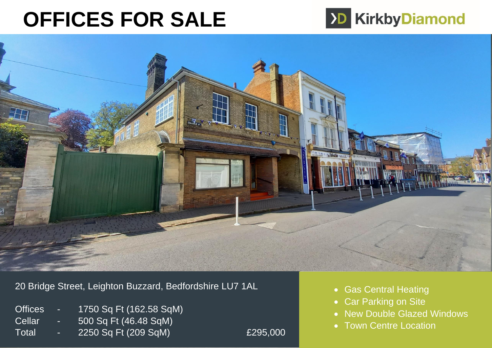# **OFFICES FOR SALE**





20 Bridge Street, Leighton Buzzard, Bedfordshire LU7 1AL

- Offices 1750 Sq Ft (162.58 SqM) Cellar - 500 Sq Ft (46.48 SqM)
- Total 2250 Sq Ft (209 SqM) £295,000

- Gas Central Heating
- Car Parking on Site
- New Double Glazed Windows
- Town Centre Location